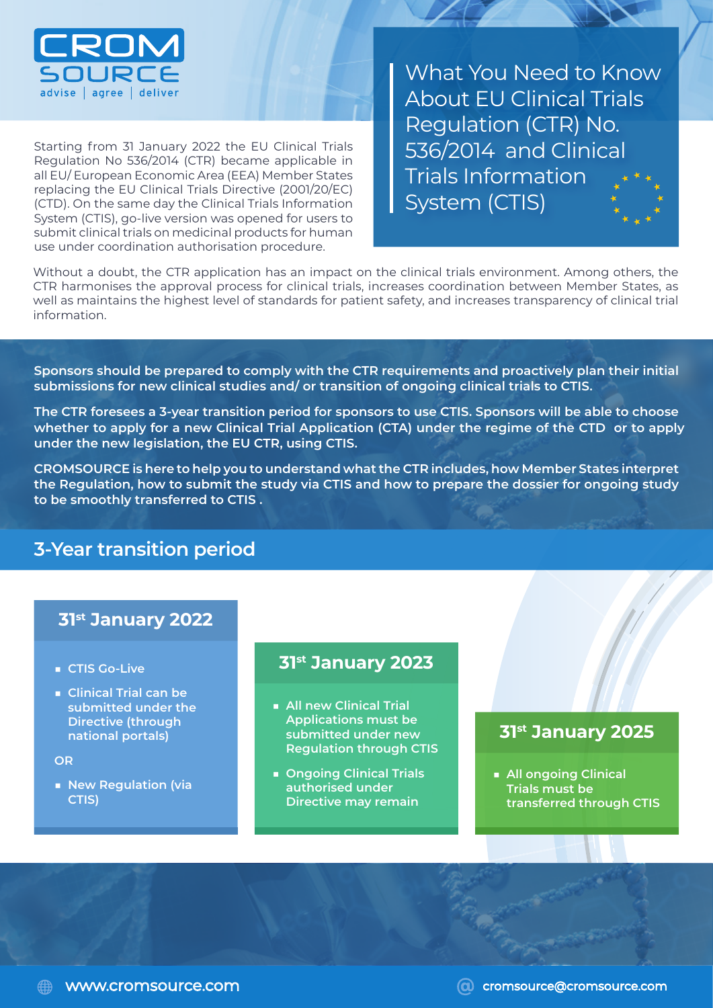

Starting from 31 January 2022 the EU Clinical Trials Regulation No 536/2014 (CTR) became applicable in all EU/ European Economic Area (EEA) Member States replacing the EU Clinical Trials Directive (2001/20/EC) (CTD). On the same day the Clinical Trials Information System (CTIS), go-live version was opened for users to submit clinical trials on medicinal products for human use under coordination authorisation procedure.

What You Need to Know About EU Clinical Trials Regulation (CTR) No. 536/2014 and Clinical Trials Information System (CTIS)

Without a doubt, the CTR application has an impact on the clinical trials environment. Among others, the CTR harmonises the approval process for clinical trials, increases coordination between Member States, as well as maintains the highest level of standards for patient safety, and increases transparency of clinical trial information.

**Sponsors should be prepared to comply with the CTR requirements and proactively plan their initial submissions for new clinical studies and/ or transition of ongoing clinical trials to CTIS.**

**The CTR foresees a 3-year transition period for sponsors to use CTIS. Sponsors will be able to choose whether to apply for a new Clinical Trial Application (CTA) under the regime of the CTD or to apply under the new legislation, the EU CTR, using CTIS.**

**CROMSOURCE is here to help you to understand what the CTR includes, how Member States interpret the Regulation, how to submit the study via CTIS and how to prepare the dossier for ongoing study to be smoothly transferred to CTIS .** 

# **3-Year transition period**

#### **31st January 2022**

- **CTIS Go-Live**
- **Clinical Trial can be submitted under the Directive (through national portals)**

#### **OR**

■ **New Regulation (via CTIS)**

#### **31st January 2023**

- **All new Clinical Trial Applications must be submitted under new Regulation through CTIS**
- **Ongoing Clinical Trials authorised under Directive may remain**

### **31st January 2025**

■ **All ongoing Clinical Trials must be transferred through CTIS**